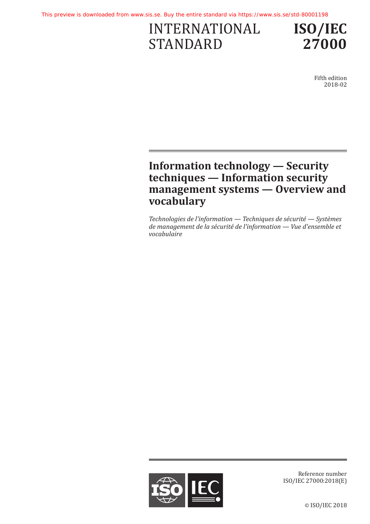# INTERNATIONAL STANDARD



Fifth edition 2018-02

## **Information technology — Security techniques — Information security management systems — Overview and vocabulary**

*Technologies de l'information — Techniques de sécurité — Systèmes de management de la sécurité de l'information — Vue d'ensemble et vocabulaire*



Reference number ISO/IEC 27000:2018(E)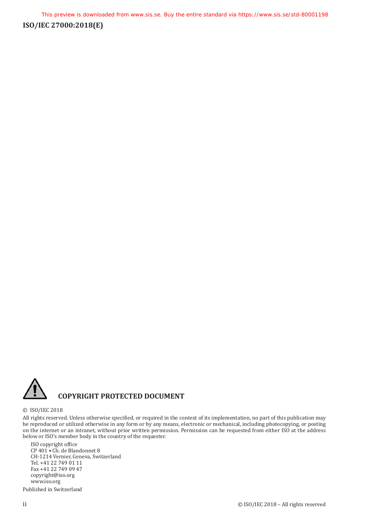

## **COPYRIGHT PROTECTED DOCUMENT**

#### © ISO/IEC 2018

All rights reserved. Unless otherwise specified, or required in the context of its implementation, no part of this publication may be reproduced or utilized otherwise in any form or by any means, electronic or mechanical, including photocopying, or posting on the internet or an intranet, without prior written permission. Permission can be requested from either ISO at the address below or ISO's member body in the country of the requester.

ISO copyright office CP 401 • Ch. de Blandonnet 8 CH-1214 Vernier, Geneva, Switzerland Tel. +41 22 749 01 11 Fax +41 22 749 09 47 copyright@iso.org www.iso.org

Published in Switzerland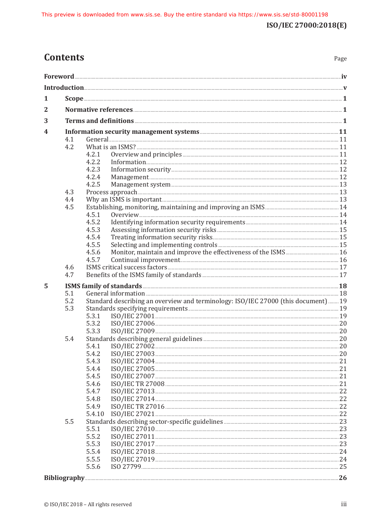## ISO/IEC 27000:2018(E)

## **Contents**

| ×<br>۰, |
|---------|
|---------|

|              |     |                                                                                                                 |  | 1 |
|--------------|-----|-----------------------------------------------------------------------------------------------------------------|--|---|
| $\mathbf{2}$ |     |                                                                                                                 |  |   |
| 3            |     |                                                                                                                 |  |   |
| 4            |     |                                                                                                                 |  |   |
|              | 4.1 | General 21 Apr 2014 11 Apr 2014 12:00 12:00 12:00 12:00 12:00 12:00 12:00 12:00 12:00 12:00 12:00 12:00 12:00 1 |  |   |
|              | 4.2 |                                                                                                                 |  |   |
|              |     | 4.2.1                                                                                                           |  |   |
|              |     | 4.2.2                                                                                                           |  |   |
|              |     | 4.2.3                                                                                                           |  |   |
|              |     | 4.2.4                                                                                                           |  |   |
|              |     | 4.2.5<br>Management system 33                                                                                   |  |   |
|              | 4.3 |                                                                                                                 |  |   |
|              | 4.4 |                                                                                                                 |  |   |
|              | 4.5 |                                                                                                                 |  |   |
|              |     | 4.5.1                                                                                                           |  |   |
|              |     | 4.5.2                                                                                                           |  |   |
|              |     | 4.5.3                                                                                                           |  |   |
|              |     | 4.5.4                                                                                                           |  |   |
|              |     | Selecting and implementing controls <b>CONSCRUTE 2018</b> 15<br>4.5.5                                           |  |   |
|              |     | 4.5.6                                                                                                           |  |   |
|              |     | 4.5.7                                                                                                           |  |   |
|              | 4.6 |                                                                                                                 |  |   |
|              | 4.7 |                                                                                                                 |  |   |
| 5            |     |                                                                                                                 |  |   |
|              | 5.1 |                                                                                                                 |  |   |
|              | 5.2 | Standard describing an overview and terminology: ISO/IEC 27000 (this document)  19                              |  |   |
|              | 5.3 |                                                                                                                 |  |   |
|              |     | 5.3.1                                                                                                           |  |   |
|              |     | 5.3.2                                                                                                           |  |   |
|              |     | 5.3.3                                                                                                           |  |   |
|              | 5.4 |                                                                                                                 |  |   |
|              |     | 5.4.1                                                                                                           |  |   |
|              |     | 5.4.2                                                                                                           |  |   |
|              |     | 5.4.3                                                                                                           |  |   |
|              |     | 5.4.4                                                                                                           |  |   |
|              |     | 5.4.5                                                                                                           |  |   |
|              |     | 5.4.6                                                                                                           |  |   |
|              |     | 5.4.7                                                                                                           |  |   |
|              |     | 5.4.8                                                                                                           |  |   |
|              |     | 5.4.9                                                                                                           |  |   |
|              |     | 5.4.10                                                                                                          |  |   |
|              | 5.5 |                                                                                                                 |  |   |
|              |     | 5.5.1                                                                                                           |  |   |
|              |     | 5.5.2                                                                                                           |  |   |
|              |     | 5.5.3                                                                                                           |  |   |
|              |     | 5.5.4                                                                                                           |  |   |
|              |     | 5.5.5                                                                                                           |  |   |
|              |     | 5.5.6                                                                                                           |  |   |
|              |     |                                                                                                                 |  |   |
|              |     |                                                                                                                 |  |   |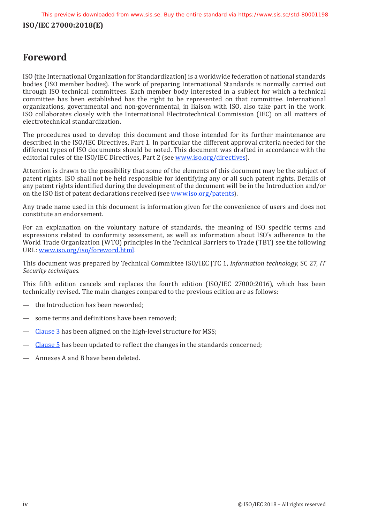## <span id="page-3-0"></span>**ISO/IEC 27000:2018(E)**

## **Foreword**

ISO (the International Organization for Standardization) is a worldwide federation of national standards bodies (ISO member bodies). The work of preparing International Standards is normally carried out through ISO technical committees. Each member body interested in a subject for which a technical committee has been established has the right to be represented on that committee. International organizations, governmental and non-governmental, in liaison with ISO, also take part in the work. ISO collaborates closely with the International Electrotechnical Commission (IEC) on all matters of electrotechnical standardization.

The procedures used to develop this document and those intended for its further maintenance are described in the ISO/IEC Directives, Part 1. In particular the different approval criteria needed for the different types of ISO documents should be noted. This document was drafted in accordance with the editorial rules of the ISO/IEC Directives, Part 2 (see [www.iso.org/directives\)](https://www.iso.org/directives-and-policies.html).

Attention is drawn to the possibility that some of the elements of this document may be the subject of patent rights. ISO shall not be held responsible for identifying any or all such patent rights. Details of any patent rights identified during the development of the document will be in the Introduction and/or on the ISO list of patent declarations received (see [www.iso.org/](https://www.iso.org/iso-standards-and-patents.html)patents).

Any trade name used in this document is information given for the convenience of users and does not constitute an endorsement.

For an explanation on the voluntary nature of standards, the meaning of ISO specific terms and expressions related to conformity assessment, as well as information about ISO's adherence to the World Trade Organization (WTO) principles in the Technical Barriers to Trade (TBT) see the following URL: [www.iso.org/iso/foreword.html](https://www.iso.org/foreword-supplementary-information.html).

This document was prepared by Technical Committee ISO/IEC JTC 1, *Information technology*, SC 27, *IT Security techniques*.

This fifth edition cancels and replaces the fourth edition (ISO/IEC 27000:2016), which has been technically revised. The main changes compared to the previous edition are as follows:

- the Introduction has been reworded:
- some terms and definitions have been removed;
- [Clause 3](#page-6-1) has been aligned on the high-level structure for MSS;
- Clause 5 has been updated to reflect the changes in the standards concerned;
- Annexes A and B have been deleted.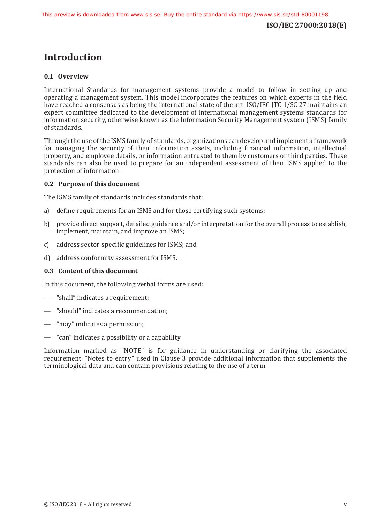**ISO/IEC 27000:2018(E)**

## <span id="page-4-0"></span>**Introduction**

## **0.1 Overview**

International Standards for management systems provide a model to follow in setting up and operating a management system. This model incorporates the features on which experts in the field have reached a consensus as being the international state of the art. ISO/IEC JTC 1/SC 27 maintains an expert committee dedicated to the development of international management systems standards for information security, otherwise known as the Information Security Management system (ISMS) family of standards.

Through the use of the ISMS family of standards, organizations can develop and implement a framework for managing the security of their information assets, including financial information, intellectual property, and employee details, or information entrusted to them by customers or third parties. These standards can also be used to prepare for an independent assessment of their ISMS applied to the protection of information.

#### **0.2 Purpose of this document**

The ISMS family of standards includes standards that:

- a) define requirements for an ISMS and for those certifying such systems;
- b) provide direct support, detailed guidance and/or interpretation for the overall process to establish, implement, maintain, and improve an ISMS;
- c) address sector-specific guidelines for ISMS; and
- d) address conformity assessment for ISMS.

## **0.3 Content of this document**

In this document, the following verbal forms are used:

- "shall" indicates a requirement;
- "should" indicates a recommendation;
- "may" indicates a permission;
- "can" indicates a possibility or a capability.

Information marked as "NOTE" is for guidance in understanding or clarifying the associated requirement. "Notes to entry" used in Clause 3 provide additional information that supplements the terminological data and can contain provisions relating to the use of a term.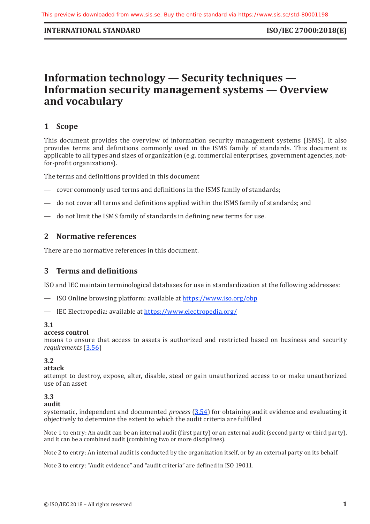#### <span id="page-6-0"></span>**INTERNATIONAL STANDARD ISO/IEC 27000:2018(E)**

## **Information technology — Security techniques — Information security management systems — Overview and vocabulary**

## **1 Scope**

This document provides the overview of information security management systems (ISMS). It also provides terms and definitions commonly used in the ISMS family of standards. This document is applicable to all types and sizes of organization (e.g. commercial enterprises, government agencies, notfor-profit organizations).

The terms and definitions provided in this document

- cover commonly used terms and definitions in the ISMS family of standards;
- do not cover all terms and definitions applied within the ISMS family of standards; and
- do not limit the ISMS family of standards in defining new terms for use.

## **2 Normative references**

There are no normative references in this document.

## <span id="page-6-1"></span>**3 Terms and definitions**

ISO and IEC maintain terminological databases for use in standardization at the following addresses:

- ISO Online browsing platform: available at <https://www.iso.org/obp>
- IEC Electropedia: available at [https://www](https://www.electropedia.org/).electropedia.org/

#### **3.1**

#### **access control**

means to ensure that access to assets is authorized and restricted based on business and security *requirements* (3.56)

## **3.2**

#### **attack**

attempt to destroy, expose, alter, disable, steal or gain unauthorized access to or make unauthorized use of an asset

## <span id="page-6-2"></span>**3.3**

### **audit**

systematic, independent and documented *process* (3.54) for obtaining audit evidence and evaluating it objectively to determine the extent to which the audit criteria are fulfilled

Note 1 to entry: An audit can be an internal audit (first party) or an external audit (second party or third party), and it can be a combined audit (combining two or more disciplines).

Note 2 to entry: An internal audit is conducted by the organization itself, or by an external party on its behalf.

Note 3 to entry: "Audit evidence" and "audit criteria" are defined in ISO 19011.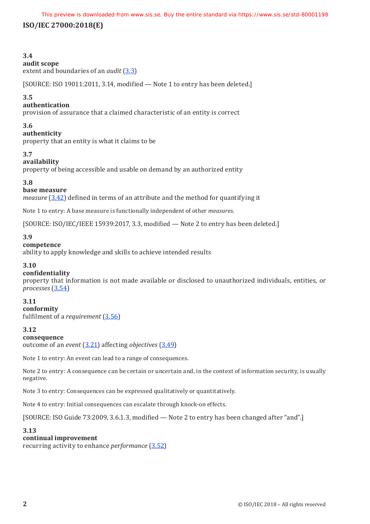## **ISO/IEC 27000:2018(E)**

## **3.4**

#### **audit scope**

extent and boundaries of an *audit* ([3.3](#page-6-2))

[SOURCE: ISO 19011:2011, 3.14, modified — Note 1 to entry has been deleted.]

#### **3.5**

### **authentication**

provision of assurance that a claimed characteristic of an entity is correct

#### <span id="page-7-3"></span>**3.6**

#### **authenticity**

property that an entity is what it claims to be

#### <span id="page-7-2"></span>**3.7**

#### **availability**

property of being accessible and usable on demand by an authorized entity

#### <span id="page-7-0"></span>**3.8**

#### **base measure**

*measure* (3.42) defined in terms of an attribute and the method for quantifying it

Note 1 to entry: A base measure is functionally independent of other *measures*.

[SOURCE: ISO/IEC/IEEE 15939:2017, 3.3, modified — Note 2 to entry has been deleted.]

#### **3.9**

#### **competence**

ability to apply knowledge and skills to achieve intended results

#### <span id="page-7-1"></span>**3.10**

#### **confidentiality**

property that information is not made available or disclosed to unauthorized individuals, entities, or *processes* (3.54)

#### **3.11**

#### **conformity**

fulfilment of a *requirement* (3.56)

#### <span id="page-7-4"></span>**3.12**

#### **consequence**

outcome of an *event* ([3.21\)](#page-8-0) affecting *objectives* (3.49)

Note 1 to entry: An event can lead to a range of consequences.

Note 2 to entry: A consequence can be certain or uncertain and, in the context of information security, is usually negative.

Note 3 to entry: Consequences can be expressed qualitatively or quantitatively.

Note 4 to entry: Initial consequences can escalate through knock-on effects.

[SOURCE: ISO Guide 73:2009, 3.6.1.3, modified — Note 2 to entry has been changed after "and".]

#### **3.13**

#### **continual improvement**

recurring activity to enhance *performance* (3.52)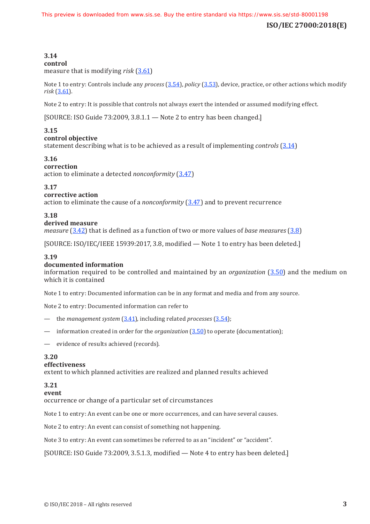### **ISO/IEC 27000:2018(E)**

## <span id="page-8-1"></span>**3.14**

## **control**

measure that is modifying *risk* (3.61)

Note 1 to entry: Controls include any *process* (3.54), *policy* (3.53), device, practice, or other actions which modify *risk* (3.61).

Note 2 to entry: It is possible that controls not always exert the intended or assumed modifying effect.

[SOURCE: ISO Guide 73:2009, 3.8.1.1 — Note 2 to entry has been changed.]

## **3.15**

#### **control objective**

statement describing what is to be achieved as a result of implementing *controls* ([3.14](#page-8-1))

#### **3.16**

#### **correction**

action to eliminate a detected *nonconformity* (3.47)

#### **3.17**

#### **corrective action**

action to eliminate the cause of a *nonconformity* (3.47) and to prevent recurrence

#### **3.18**

#### **derived measure**

*measure* (3.42) that is defined as a function of two or more values of *base measures* ([3.8](#page-7-0))

[SOURCE: ISO/IEC/IEEE 15939:2017, 3.8, modified — Note 1 to entry has been deleted.]

#### **3.19**

#### **documented information**

information required to be controlled and maintained by an *organization* (3.50) and the medium on which it is contained

Note 1 to entry: Documented information can be in any format and media and from any source.

Note 2 to entry: Documented information can refer to

- the *management system* (3.41), including related *processes* (3.54);
- information created in order for the *organization* (3.50) to operate (documentation);
- evidence of results achieved (records).

#### **3.20**

#### **effectiveness**

extent to which planned activities are realized and planned results achieved

#### <span id="page-8-0"></span>**3.21**

#### **event**

occurrence or change of a particular set of circumstances

Note 1 to entry: An event can be one or more occurrences, and can have several causes.

Note 2 to entry: An event can consist of something not happening.

Note 3 to entry: An event can sometimes be referred to as an "incident" or "accident".

[SOURCE: ISO Guide 73:2009, 3.5.1.3, modified — Note 4 to entry has been deleted.]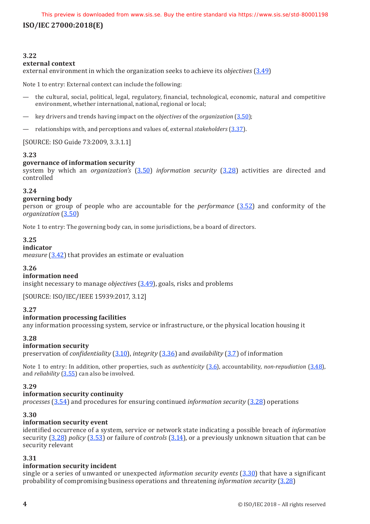## **ISO/IEC 27000:2018(E)**

## **3.22**

#### **external context**

external environment in which the organization seeks to achieve its *objectives* (3.49)

Note 1 to entry: External context can include the following:

- the cultural, social, political, legal, regulatory, financial, technological, economic, natural and competitive environment, whether international, national, regional or local;
- key drivers and trends having impact on the *objectives* of the *organization* (3.50);
- relationships with, and perceptions and values of, external *stakeholders* ([3.37](#page-10-0)).

[SOURCE: ISO Guide 73:2009, 3.3.1.1]

#### **3.23**

#### **governance of information security**

system by which an *organization's* (3.50) *information security* ([3.28](#page-9-0)) activities are directed and controlled

#### **3.24**

#### **governing body**

person or group of people who are accountable for the *performance* (3.52) and conformity of the *organization* (3.50)

Note 1 to entry: The governing body can, in some jurisdictions, be a board of directors.

#### **3.25**

#### **indicator**

*measure* (3.42) that provides an estimate or evaluation

#### **3.26**

#### **information need**

insight necessary to manage *objectives* (3.49), goals, risks and problems

[SOURCE: ISO/IEC/IEEE 15939:2017, 3.12]

#### **3.27**

#### **information processing facilities**

any information processing system, service or infrastructure, or the physical location housing it

#### <span id="page-9-0"></span>**3.28**

#### **information security**

preservation of *confidentiality* ([3.10\)](#page-7-1), *integrity* ([3.36](#page-10-1)) and *availability* ([3.7\)](#page-7-2) of information

Note 1 to entry: In addition, other properties, such as *authenticity* ([3.6](#page-7-3)), accountability, *non-repudiation* (3.48), and *reliability* (3.55) can also be involved.

#### **3.29**

#### **information security continuity**

*processes* (3.54) and procedures for ensuring continued *information security* ([3.28](#page-9-0)) operations

#### <span id="page-9-1"></span>**3.30**

#### **information security event**

identified occurrence of a system, service or network state indicating a possible breach of *information* security [\(3.28](#page-9-0)) *policy* (3.53) or failure of *controls* ([3.14\)](#page-8-1), or a previously unknown situation that can be security relevant

#### <span id="page-9-2"></span>**3.31**

#### **information security incident**

single or a series of unwanted or unexpected *information security events* ([3.30\)](#page-9-1) that have a significant probability of compromising business operations and threatening *information security* ([3.28](#page-9-0))